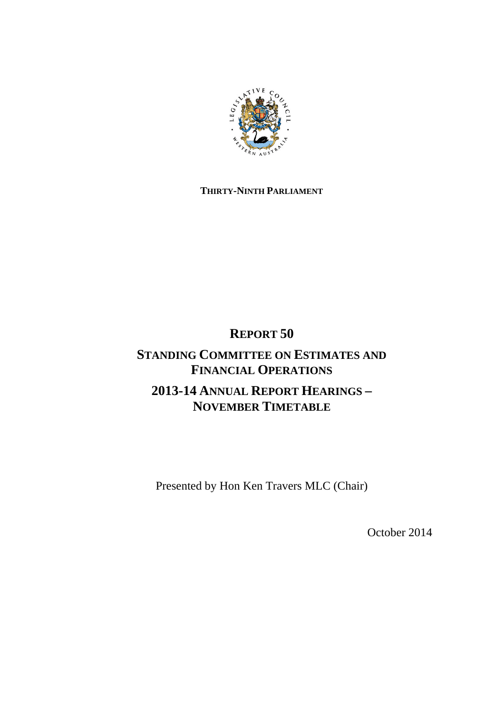

#### **THIRTY-NINTH PARLIAMENT**

# **REPORT 50**

### **STANDING COMMITTEE ON ESTIMATES AND FINANCIAL OPERATIONS 2013-14 ANNUAL REPORT HEARINGS – NOVEMBER TIMETABLE**

Presented by Hon Ken Travers MLC (Chair)

October 2014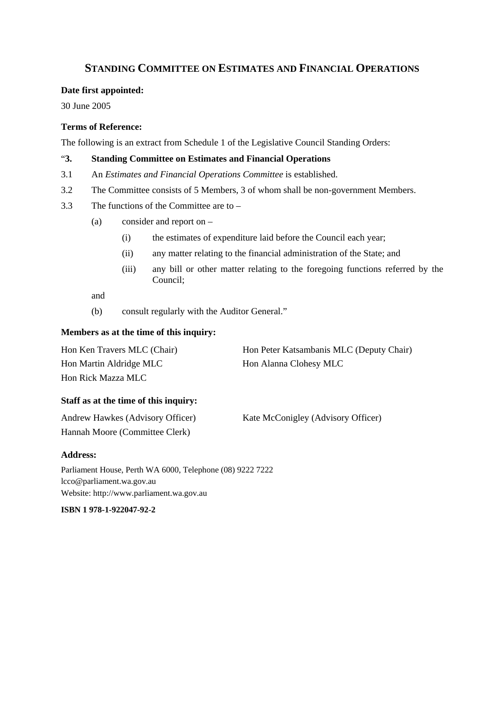#### **STANDING COMMITTEE ON ESTIMATES AND FINANCIAL OPERATIONS**

#### **Date first appointed:**

30 June 2005

#### **Terms of Reference:**

The following is an extract from Schedule 1 of the Legislative Council Standing Orders:

#### "**3. Standing Committee on Estimates and Financial Operations**

- 3.1 An *Estimates and Financial Operations Committee* is established.
- 3.2 The Committee consists of 5 Members, 3 of whom shall be non-government Members.
- 3.3 The functions of the Committee are to
	- (a) consider and report on
		- (i) the estimates of expenditure laid before the Council each year;
		- (ii) any matter relating to the financial administration of the State; and
		- (iii) any bill or other matter relating to the foregoing functions referred by the Council;

and

(b) consult regularly with the Auditor General."

#### **Members as at the time of this inquiry:**

| Hon Ken Travers MLC (Chair) | Hon Peter Katsambanis MLC (Deputy Chair) |
|-----------------------------|------------------------------------------|
| Hon Martin Aldridge MLC     | Hon Alanna Clohesy MLC                   |
| Hon Rick Mazza MLC          |                                          |

#### **Staff as at the time of this inquiry:**

| Andrew Hawkes (Advisory Officer) | Kate McConigley (Advisory Officer) |
|----------------------------------|------------------------------------|
| Hannah Moore (Committee Clerk)   |                                    |

#### **Address:**

Parliament House, Perth WA 6000, Telephone (08) 9222 7222 lcco@parliament.wa.gov.au Website: http://www.parliament.wa.gov.au

**ISBN 1 978-1-922047-92-2**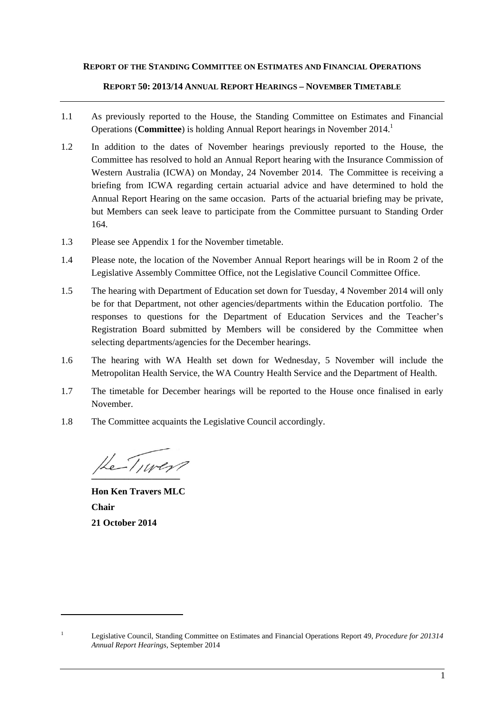#### **REPORT OF THE STANDING COMMITTEE ON ESTIMATES AND FINANCIAL OPERATIONS**

#### **REPORT 50: 2013/14 ANNUAL REPORT HEARINGS – NOVEMBER TIMETABLE**

- 1.1 As previously reported to the House, the Standing Committee on Estimates and Financial Operations (**Committee**) is holding Annual Report hearings in November 2014.1
- 1.2 In addition to the dates of November hearings previously reported to the House, the Committee has resolved to hold an Annual Report hearing with the Insurance Commission of Western Australia (ICWA) on Monday, 24 November 2014. The Committee is receiving a briefing from ICWA regarding certain actuarial advice and have determined to hold the Annual Report Hearing on the same occasion. Parts of the actuarial briefing may be private, but Members can seek leave to participate from the Committee pursuant to Standing Order 164.
- 1.3 Please see Appendix 1 for the November timetable.
- 1.4 Please note, the location of the November Annual Report hearings will be in Room 2 of the Legislative Assembly Committee Office, not the Legislative Council Committee Office.
- 1.5 The hearing with Department of Education set down for Tuesday, 4 November 2014 will only be for that Department, not other agencies/departments within the Education portfolio. The responses to questions for the Department of Education Services and the Teacher's Registration Board submitted by Members will be considered by the Committee when selecting departments/agencies for the December hearings.
- 1.6 The hearing with WA Health set down for Wednesday, 5 November will include the Metropolitan Health Service, the WA Country Health Service and the Department of Health.
- 1.7 The timetable for December hearings will be reported to the House once finalised in early November.
- 1.8 The Committee acquaints the Legislative Council accordingly.

He-Tiwer?

**Hon Ken Travers MLC Chair 21 October 2014** 

<sup>1</sup> Legislative Council, Standing Committee on Estimates and Financial Operations Report 49, *Procedure for 201314 Annual Report Hearings*, September 2014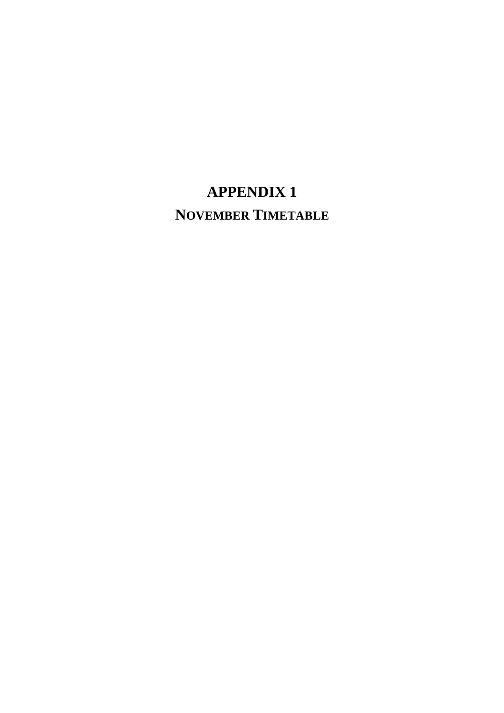## **APPENDIX 1 NOVEMBER TIMETABLE**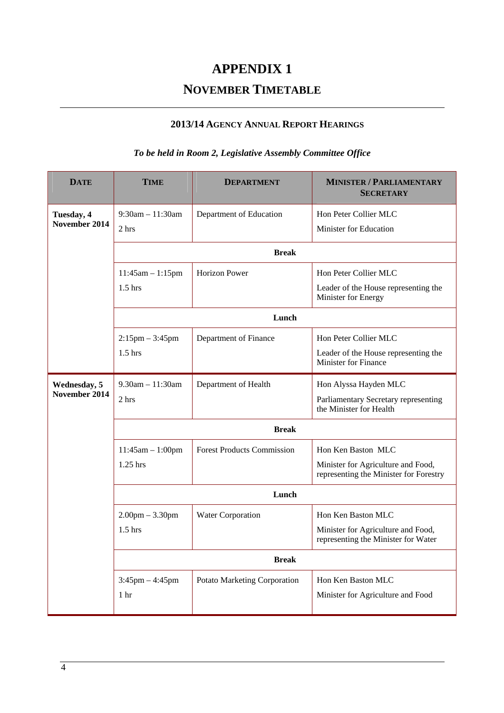## **APPENDIX 1**

### **NOVEMBER TIMETABLE**

#### **2013/14 AGENCY ANNUAL REPORT HEARINGS**

#### *To be held in Room 2, Legislative Assembly Committee Office*

| <b>DATE</b>                 | <b>TIME</b>           | <b>DEPARTMENT</b>                 | <b>MINISTER / PARLIAMENTARY</b><br><b>SECRETARY</b>                          |  |
|-----------------------------|-----------------------|-----------------------------------|------------------------------------------------------------------------------|--|
| Tuesday, 4<br>November 2014 | $9:30$ am $-11:30$ am | Department of Education           | Hon Peter Collier MLC                                                        |  |
|                             | 2 hrs                 |                                   | Minister for Education                                                       |  |
|                             | <b>Break</b>          |                                   |                                                                              |  |
|                             | $11:45am - 1:15pm$    | <b>Horizon Power</b>              | Hon Peter Collier MLC                                                        |  |
|                             | $1.5$ hrs             |                                   | Leader of the House representing the<br>Minister for Energy                  |  |
|                             | Lunch                 |                                   |                                                                              |  |
|                             | $2:15$ pm $-3:45$ pm  | Department of Finance             | Hon Peter Collier MLC                                                        |  |
|                             | $1.5$ hrs             |                                   | Leader of the House representing the<br>Minister for Finance                 |  |
| Wednesday, 5                | $9.30$ am $-11:30$ am | Department of Health              | Hon Alyssa Hayden MLC                                                        |  |
| November 2014               | 2 hrs                 |                                   | Parliamentary Secretary representing<br>the Minister for Health              |  |
|                             | <b>Break</b>          |                                   |                                                                              |  |
|                             | $11:45am - 1:00pm$    | <b>Forest Products Commission</b> | Hon Ken Baston MLC                                                           |  |
|                             | $1.25$ hrs            |                                   | Minister for Agriculture and Food,<br>representing the Minister for Forestry |  |
|                             | Lunch                 |                                   |                                                                              |  |
|                             | $2.00$ pm $-3.30$ pm  | Water Corporation                 | Hon Ken Baston MLC                                                           |  |
|                             | $1.5$ hrs             |                                   | Minister for Agriculture and Food,<br>representing the Minister for Water    |  |
|                             | <b>Break</b>          |                                   |                                                                              |  |
|                             | $3:45$ pm $-4:45$ pm  | Potato Marketing Corporation      | Hon Ken Baston MLC                                                           |  |
|                             | 1 <sub>hr</sub>       |                                   | Minister for Agriculture and Food                                            |  |